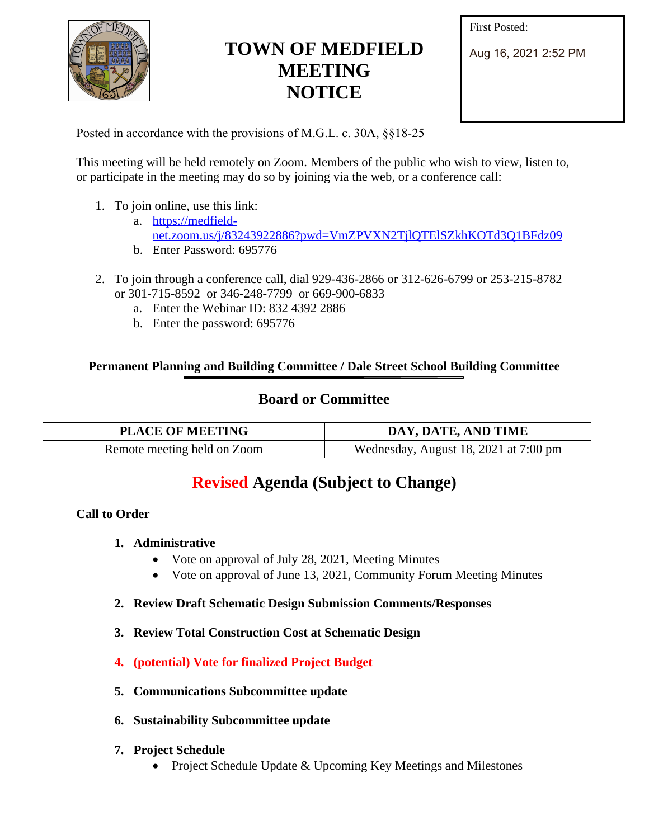

# **TOWN OF MEDFIELD MEETING NOTICE**

First Posted:

Aug 16, 2021 2:52 PM

Posted in accordance with the provisions of M.G.L. c. 30A, §§18-25

This meeting will be held remotely on Zoom. Members of the public who wish to view, listen to, or participate in the meeting may do so by joining via the web, or a conference call:

- 1. To join online, use this link:
	- a. [https://medfield](https://medfield-net.zoom.us/j/83243922886?pwd=VmZPVXN2TjlQTElSZkhKOTd3Q1BFdz09)net.zoom.us/j/83243922886?pwd=VmZPVXN2TjlQTElSZkhKOTd3Q1BFdz09
	- b. Enter Password: 695776
- 2. To join through a conference call, dial 929-436-2866 or 312-626-6799 or 253-215-8782 or 301-715-8592 or 346-248-7799 or 669-900-6833
	- a. Enter the Webinar ID: 832 4392 2886
	- b. Enter the password: 695776

### **Permanent Planning and Building Committee / Dale Street School Building Committee**

# **Board or Committee**

| <b>PLACE OF MEETING</b>     | DAY, DATE, AND TIME                   |
|-----------------------------|---------------------------------------|
| Remote meeting held on Zoom | Wednesday, August 18, 2021 at 7:00 pm |

# **Revised Agenda (Subject to Change)**

#### **Call to Order**

- **1. Administrative**
	- Vote on approval of July 28, 2021, Meeting Minutes
	- Vote on approval of June 13, 2021, Community Forum Meeting Minutes
- **2. Review Draft Schematic Design Submission Comments/Responses**
- **3. Review Total Construction Cost at Schematic Design**
- **4. (potential) Vote for finalized Project Budget**
- **5. Communications Subcommittee update**
- **6. Sustainability Subcommittee update**
- **7. Project Schedule**
	- Project Schedule Update & Upcoming Key Meetings and Milestones